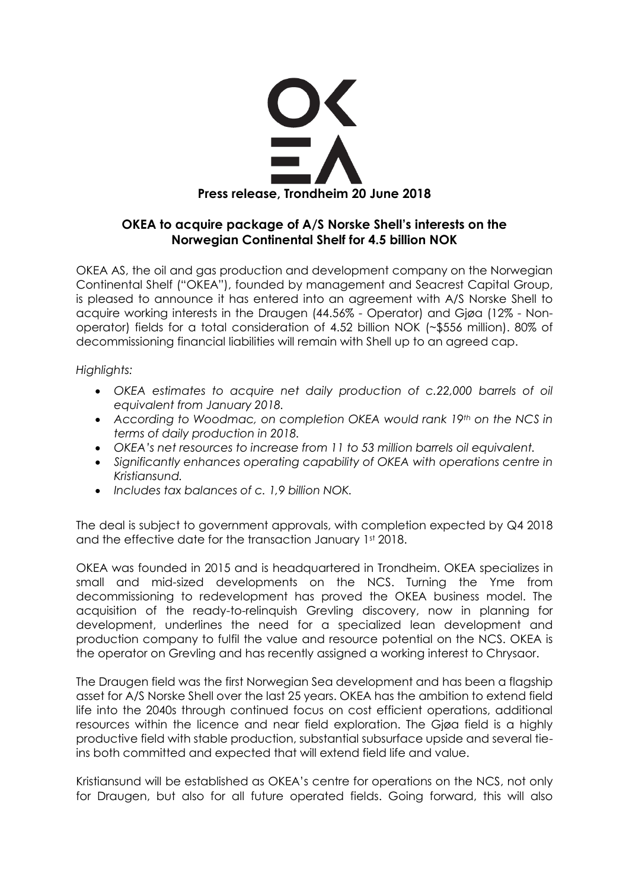

# **OKEA to acquire package of A/S Norske Shell's interests on the Norwegian Continental Shelf for 4.5 billion NOK**

OKEA AS, the oil and gas production and development company on the Norwegian Continental Shelf ("OKEA"), founded by management and Seacrest Capital Group, is pleased to announce it has entered into an agreement with A/S Norske Shell to acquire working interests in the Draugen (44.56% - Operator) and Gjøa (12% - Nonoperator) fields for a total consideration of 4.52 billion NOK (~\$556 million). 80% of decommissioning financial liabilities will remain with Shell up to an agreed cap.

*Highlights:*

- *OKEA estimates to acquire net daily production of c.22,000 barrels of oil equivalent from January 2018.*
- *According to Woodmac, on completion OKEA would rank 19th on the NCS in terms of daily production in 2018.*
- *OKEA's net resources to increase from 11 to 53 million barrels oil equivalent.*
- *Significantly enhances operating capability of OKEA with operations centre in Kristiansund.*
- *Includes tax balances of c. 1,9 billion NOK.*

The deal is subject to government approvals, with completion expected by Q4 2018 and the effective date for the transaction January 1st 2018.

OKEA was founded in 2015 and is headquartered in Trondheim. OKEA specializes in small and mid-sized developments on the NCS. Turning the Yme from decommissioning to redevelopment has proved the OKEA business model. The acquisition of the ready-to-relinquish Grevling discovery, now in planning for development, underlines the need for a specialized lean development and production company to fulfil the value and resource potential on the NCS. OKEA is the operator on Grevling and has recently assigned a working interest to Chrysaor.

The Draugen field was the first Norwegian Sea development and has been a flagship asset for A/S Norske Shell over the last 25 years. OKEA has the ambition to extend field life into the 2040s through continued focus on cost efficient operations, additional resources within the licence and near field exploration. The Gjøa field is a highly productive field with stable production, substantial subsurface upside and several tieins both committed and expected that will extend field life and value.

Kristiansund will be established as OKEA's centre for operations on the NCS, not only for Draugen, but also for all future operated fields. Going forward, this will also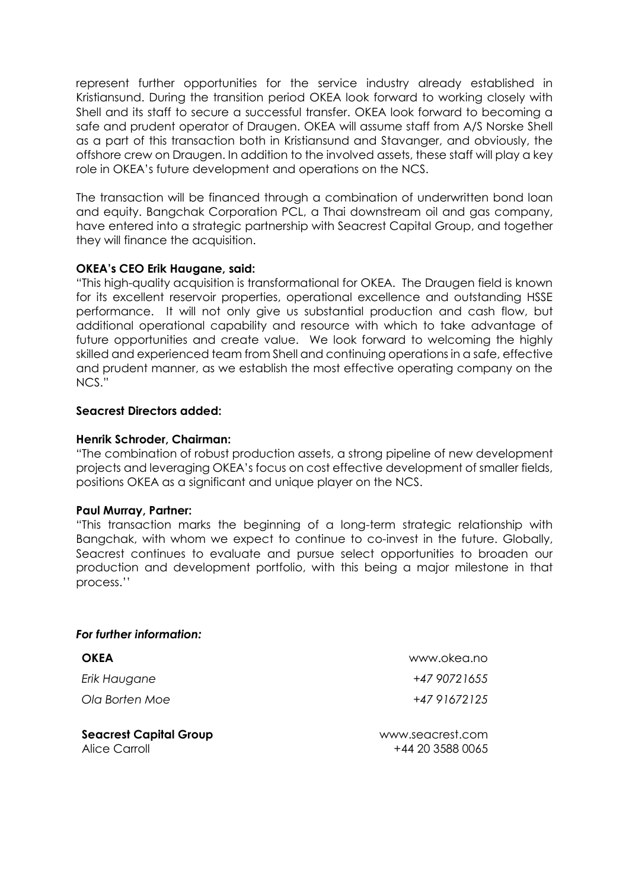represent further opportunities for the service industry already established in Kristiansund. During the transition period OKEA look forward to working closely with Shell and its staff to secure a successful transfer. OKEA look forward to becoming a safe and prudent operator of Draugen. OKEA will assume staff from A/S Norske Shell as a part of this transaction both in Kristiansund and Stavanger, and obviously, the offshore crew on Draugen. In addition to the involved assets, these staff will play a key role in OKEA's future development and operations on the NCS.

The transaction will be financed through a combination of underwritten bond loan and equity. Bangchak Corporation PCL, a Thai downstream oil and gas company, have entered into a strategic partnership with Seacrest Capital Group, and together they will finance the acquisition.

### **OKEA's CEO Erik Haugane, said:**

"This high-quality acquisition is transformational for OKEA. The Draugen field is known for its excellent reservoir properties, operational excellence and outstanding HSSE performance. It will not only give us substantial production and cash flow, but additional operational capability and resource with which to take advantage of future opportunities and create value. We look forward to welcoming the highly skilled and experienced team from Shell and continuing operations in a safe, effective and prudent manner, as we establish the most effective operating company on the NCS."

### **Seacrest Directors added:**

#### **Henrik Schroder, Chairman:**

"The combination of robust production assets, a strong pipeline of new development projects and leveraging OKEA's focus on cost effective development of smaller fields, positions OKEA as a significant and unique player on the NCS.

#### **Paul Murray, Partner:**

"This transaction marks the beginning of a long-term strategic relationship with Bangchak, with whom we expect to continue to co-invest in the future. Globally, Seacrest continues to evaluate and pursue select opportunities to broaden our production and development portfolio, with this being a major milestone in that process.''

#### *For further information:*

| <b>OKEA</b>                                    | www.okea.no                          |
|------------------------------------------------|--------------------------------------|
| Erik Haugane                                   | +47 9072 1655                        |
| Ola Borten Moe                                 | +47 91672125                         |
| <b>Seacrest Capital Group</b><br>Alice Carroll | www.seacrest.com<br>+44 20 3588 0065 |